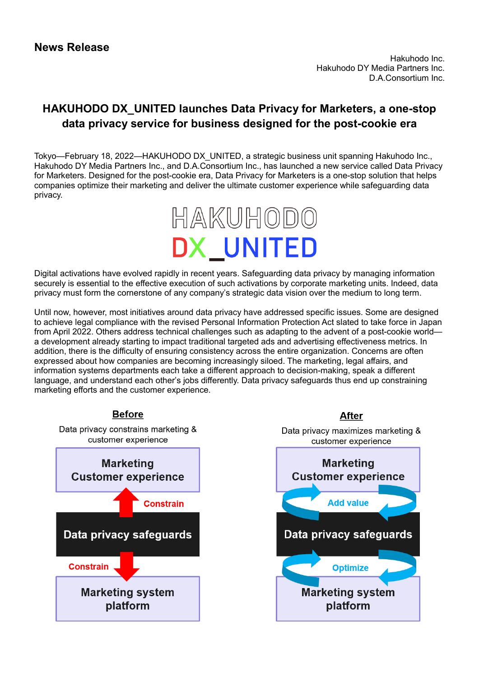## **HAKUHODO DX\_UNITED launches Data Privacy for Marketers, a one-stop data privacy service for business designed for the post-cookie era**

Tokyo—February 18, 2022—HAKUHODO DX\_UNITED, a strategic business unit spanning Hakuhodo Inc., Hakuhodo DY Media Partners Inc., and D.A.Consortium Inc., has launched a new service called Data Privacy for Marketers. Designed for the post-cookie era, Data Privacy for Marketers is a one-stop solution that helps companies optimize their marketing and deliver the ultimate customer experience while safeguarding data privacy.



Digital activations have evolved rapidly in recent years. Safeguarding data privacy by managing information securely is essential to the effective execution of such activations by corporate marketing units. Indeed, data privacy must form the cornerstone of any company's strategic data vision over the medium to long term.

Until now, however, most initiatives around data privacy have addressed specific issues. Some are designed to achieve legal compliance with the revised Personal Information Protection Act slated to take force in Japan from April 2022. Others address technical challenges such as adapting to the advent of a post-cookie world a development already starting to impact traditional targeted ads and advertising effectiveness metrics. In addition, there is the difficulty of ensuring consistency across the entire organization. Concerns are often expressed about how companies are becoming increasingly siloed. The marketing, legal affairs, and information systems departments each take a different approach to decision-making, speak a different language, and understand each other's jobs differently. Data privacy safeguards thus end up constraining marketing efforts and the customer experience.